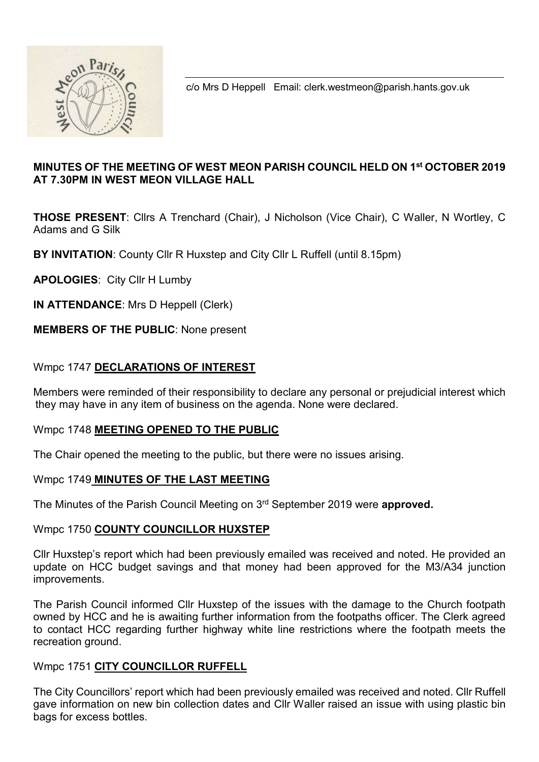

c/o Mrs D Heppell Email: clerk.westmeon@parish.hants.gov.uk

## MINUTES OF THE MEETING OF WEST MEON PARISH COUNCIL HELD ON 1st OCTOBER 2019 AT 7.30PM IN WEST MEON VILLAGE HALL

THOSE PRESENT: Cllrs A Trenchard (Chair), J Nicholson (Vice Chair), C Waller, N Wortley, C Adams and G Silk

BY INVITATION: County Cllr R Huxstep and City Cllr L Ruffell (until 8.15pm)

APOLOGIES: City Cllr H Lumby

IN ATTENDANCE: Mrs D Heppell (Clerk)

## MEMBERS OF THE PUBLIC: None present

## Wmpc 1747 DECLARATIONS OF INTEREST

Members were reminded of their responsibility to declare any personal or prejudicial interest which they may have in any item of business on the agenda. None were declared.

## Wmpc 1748 MEETING OPENED TO THE PUBLIC

The Chair opened the meeting to the public, but there were no issues arising.

## Wmpc 1749 MINUTES OF THE LAST MEETING

The Minutes of the Parish Council Meeting on 3<sup>rd</sup> September 2019 were approved.

#### Wmpc 1750 COUNTY COUNCILLOR HUXSTEP

Cllr Huxstep's report which had been previously emailed was received and noted. He provided an update on HCC budget savings and that money had been approved for the M3/A34 junction improvements.

The Parish Council informed Cllr Huxstep of the issues with the damage to the Church footpath owned by HCC and he is awaiting further information from the footpaths officer. The Clerk agreed to contact HCC regarding further highway white line restrictions where the footpath meets the recreation ground.

## Wmpc 1751 CITY COUNCILLOR RUFFELL

The City Councillors' report which had been previously emailed was received and noted. Cllr Ruffell gave information on new bin collection dates and Cllr Waller raised an issue with using plastic bin bags for excess bottles.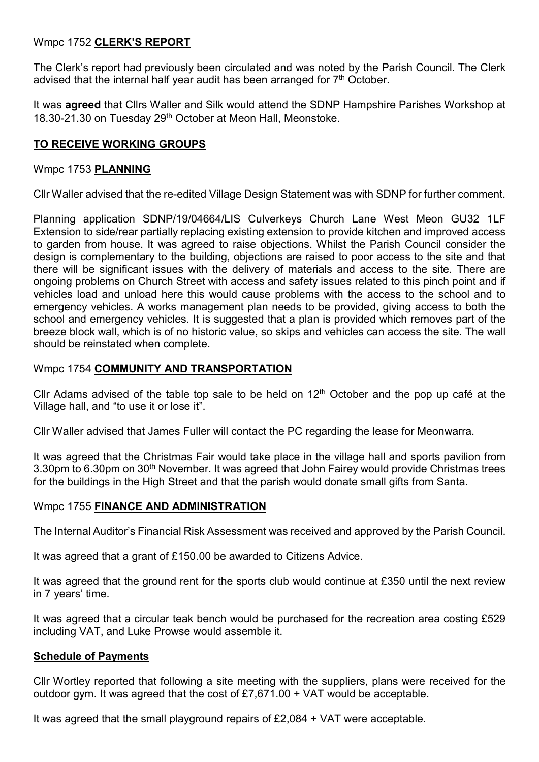# Wmpc 1752 CLERK'S REPORT

The Clerk's report had previously been circulated and was noted by the Parish Council. The Clerk advised that the internal half year audit has been arranged for  $7<sup>th</sup>$  October.

It was **agreed** that Cllrs Waller and Silk would attend the SDNP Hampshire Parishes Workshop at 18.30-21.30 on Tuesday 29<sup>th</sup> October at Meon Hall, Meonstoke.

## TO RECEIVE WORKING GROUPS

## Wmpc 1753 PLANNING

Cllr Waller advised that the re-edited Village Design Statement was with SDNP for further comment.

Planning application SDNP/19/04664/LIS Culverkeys Church Lane West Meon GU32 1LF Extension to side/rear partially replacing existing extension to provide kitchen and improved access to garden from house. It was agreed to raise objections. Whilst the Parish Council consider the design is complementary to the building, objections are raised to poor access to the site and that there will be significant issues with the delivery of materials and access to the site. There are ongoing problems on Church Street with access and safety issues related to this pinch point and if vehicles load and unload here this would cause problems with the access to the school and to emergency vehicles. A works management plan needs to be provided, giving access to both the school and emergency vehicles. It is suggested that a plan is provided which removes part of the breeze block wall, which is of no historic value, so skips and vehicles can access the site. The wall should be reinstated when complete.

## Wmpc 1754 COMMUNITY AND TRANSPORTATION

Cllr Adams advised of the table top sale to be held on  $12<sup>th</sup>$  October and the pop up café at the Village hall, and "to use it or lose it".

Cllr Waller advised that James Fuller will contact the PC regarding the lease for Meonwarra.

It was agreed that the Christmas Fair would take place in the village hall and sports pavilion from 3.30pm to 6.30pm on 30<sup>th</sup> November. It was agreed that John Fairey would provide Christmas trees for the buildings in the High Street and that the parish would donate small gifts from Santa.

## Wmpc 1755 FINANCE AND ADMINISTRATION

The Internal Auditor's Financial Risk Assessment was received and approved by the Parish Council.

It was agreed that a grant of £150.00 be awarded to Citizens Advice.

It was agreed that the ground rent for the sports club would continue at £350 until the next review in 7 years' time.

It was agreed that a circular teak bench would be purchased for the recreation area costing £529 including VAT, and Luke Prowse would assemble it.

## Schedule of Payments

Cllr Wortley reported that following a site meeting with the suppliers, plans were received for the outdoor gym. It was agreed that the cost of £7,671.00 + VAT would be acceptable.

It was agreed that the small playground repairs of £2,084 + VAT were acceptable.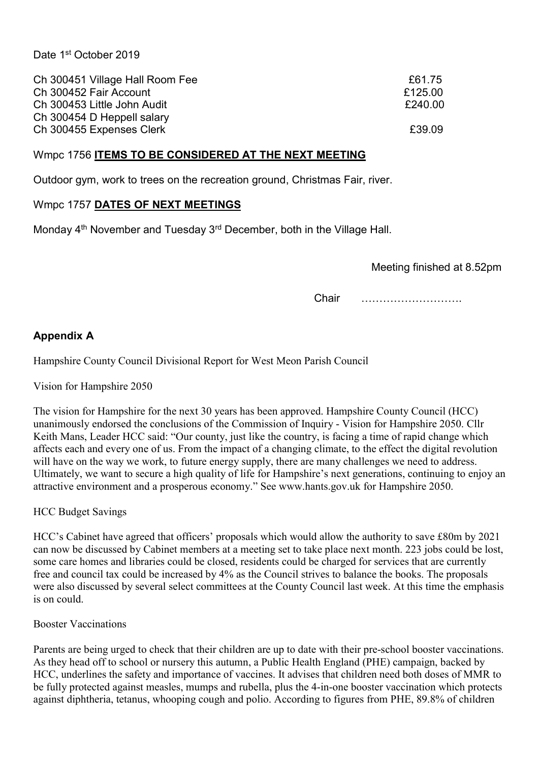| Ch 300451 Village Hall Room Fee | £61.75  |
|---------------------------------|---------|
| Ch 300452 Fair Account          | £125.00 |
| Ch 300453 Little John Audit     | £240.00 |
| Ch 300454 D Heppell salary      |         |
| Ch 300455 Expenses Clerk        | £39.09  |

#### Wmpc 1756 ITEMS TO BE CONSIDERED AT THE NEXT MEETING

Outdoor gym, work to trees on the recreation ground, Christmas Fair, river.

#### Wmpc 1757 DATES OF NEXT MEETINGS

Monday 4<sup>th</sup> November and Tuesday 3<sup>rd</sup> December, both in the Village Hall.

Meeting finished at 8.52pm

Chair ……………………….

## Appendix A

Hampshire County Council Divisional Report for West Meon Parish Council

Vision for Hampshire 2050

The vision for Hampshire for the next 30 years has been approved. Hampshire County Council (HCC) unanimously endorsed the conclusions of the Commission of Inquiry - Vision for Hampshire 2050. Cllr Keith Mans, Leader HCC said: "Our county, just like the country, is facing a time of rapid change which affects each and every one of us. From the impact of a changing climate, to the effect the digital revolution will have on the way we work, to future energy supply, there are many challenges we need to address. Ultimately, we want to secure a high quality of life for Hampshire's next generations, continuing to enjoy an attractive environment and a prosperous economy." See www.hants.gov.uk for Hampshire 2050.

HCC Budget Savings

HCC's Cabinet have agreed that officers' proposals which would allow the authority to save £80m by 2021 can now be discussed by Cabinet members at a meeting set to take place next month. 223 jobs could be lost, some care homes and libraries could be closed, residents could be charged for services that are currently free and council tax could be increased by 4% as the Council strives to balance the books. The proposals were also discussed by several select committees at the County Council last week. At this time the emphasis is on could.

Booster Vaccinations

Parents are being urged to check that their children are up to date with their pre-school booster vaccinations. As they head off to school or nursery this autumn, a Public Health England (PHE) campaign, backed by HCC, underlines the safety and importance of vaccines. It advises that children need both doses of MMR to be fully protected against measles, mumps and rubella, plus the 4-in-one booster vaccination which protects against diphtheria, tetanus, whooping cough and polio. According to figures from PHE, 89.8% of children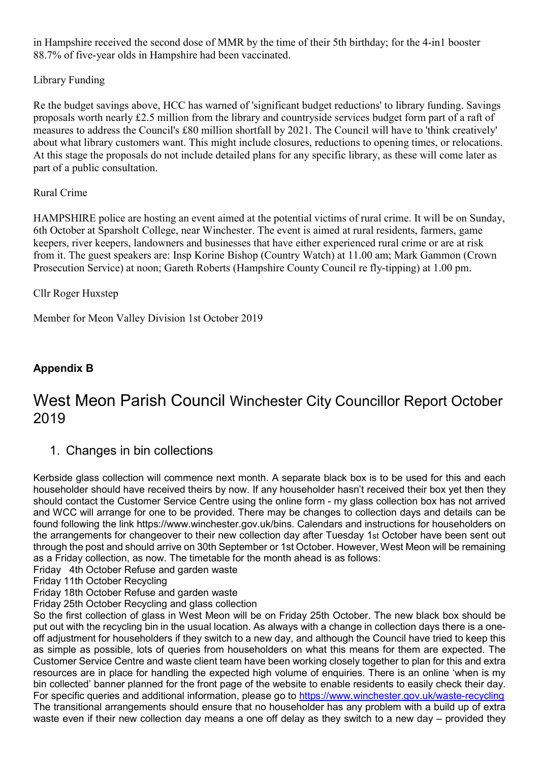in Hampshire received the second dose of MMR by the time of their 5th birthday; for the 4-in1 booster 88.7% of five-year olds in Hampshire had been vaccinated.

## Library Funding

Re the budget savings above, HCC has warned of 'significant budget reductions' to library funding. Savings proposals worth nearly £2.5 million from the library and countryside services budget form part of a raft of measures to address the Council's £80 million shortfall by 2021. The Council will have to 'think creatively' about what library customers want. This might include closures, reductions to opening times, or relocations. At this stage the proposals do not include detailed plans for any specific library, as these will come later as part of a public consultation.

## Rural Crime

HAMPSHIRE police are hosting an event aimed at the potential victims of rural crime. It will be on Sunday, 6th October at Sparsholt College, near Winchester. The event is aimed at rural residents, farmers, game keepers, river keepers, landowners and businesses that have either experienced rural crime or are at risk from it. The guest speakers are: Insp Korine Bishop (Country Watch) at 11.00 am; Mark Gammon (Crown Prosecution Service) at noon; Gareth Roberts (Hampshire County Council re fly-tipping) at 1.00 pm.

## Cllr Roger Huxstep

Member for Meon Valley Division 1st October 2019

# Appendix B

# West Meon Parish Council Winchester City Councillor Report October 2019

# 1. Changes in bin collections

Kerbside glass collection will commence next month. A separate black box is to be used for this and each householder should have received theirs by now. If any householder hasn't received their box yet then they should contact the Customer Service Centre using the online form - my glass collection box has not arrived and WCC will arrange for one to be provided. There may be changes to collection days and details can be found following the link https://www.winchester.gov.uk/bins. Calendars and instructions for householders on the arrangements for changeover to their new collection day after Tuesday 1st October have been sent out through the post and should arrive on 30th September or 1st October. However, West Meon will be remaining as a Friday collection, as now. The timetable for the month ahead is as follows:

- Friday 4th October Refuse and garden waste
- Friday 11th October Recycling
- Friday 18th October Refuse and garden waste

Friday 25th October Recycling and glass collection

So the first collection of glass in West Meon will be on Friday 25th October. The new black box should be put out with the recycling bin in the usual location. As always with a change in collection days there is a oneoff adjustment for householders if they switch to a new day, and although the Council have tried to keep this as simple as possible, lots of queries from householders on what this means for them are expected. The Customer Service Centre and waste client team have been working closely together to plan for this and extra resources are in place for handling the expected high volume of enquiries. There is an online 'when is my bin collected' banner planned for the front page of the website to enable residents to easily check their day. For specific queries and additional information, please go to https://www.winchester.gov.uk/waste-recycling The transitional arrangements should ensure that no householder has any problem with a build up of extra waste even if their new collection day means a one off delay as they switch to a new day – provided they